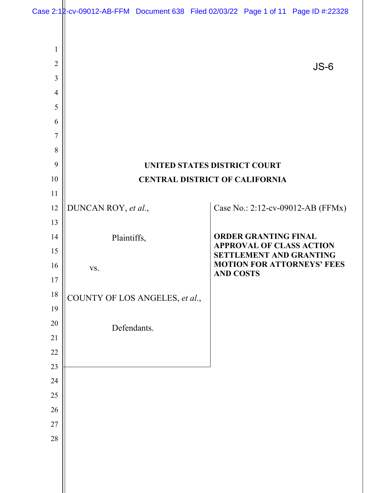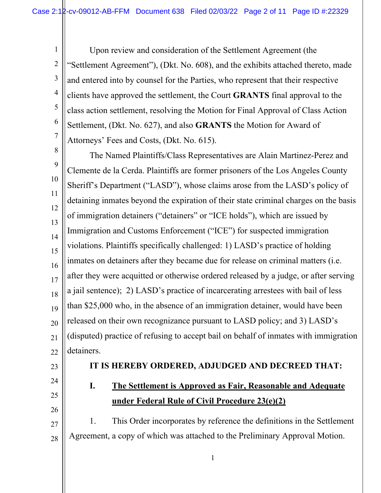1 2 3 4 5 6 7 Upon review and consideration of the Settlement Agreement (the "Settlement Agreement"), (Dkt. No. 608), and the exhibits attached thereto, made and entered into by counsel for the Parties, who represent that their respective clients have approved the settlement, the Court **GRANTS** final approval to the class action settlement, resolving the Motion for Final Approval of Class Action Settlement, (Dkt. No. 627), and also **GRANTS** the Motion for Award of Attorneys' Fees and Costs, (Dkt. No. 615).

8 9 10 11 12 13 14 15 16 17 18 19 20 21 22 The Named Plaintiffs/Class Representatives are Alain Martinez-Perez and Clemente de la Cerda. Plaintiffs are former prisoners of the Los Angeles County Sheriff's Department ("LASD"), whose claims arose from the LASD's policy of detaining inmates beyond the expiration of their state criminal charges on the basis of immigration detainers ("detainers" or "ICE holds"), which are issued by Immigration and Customs Enforcement ("ICE") for suspected immigration violations. Plaintiffs specifically challenged: 1) LASD's practice of holding inmates on detainers after they became due for release on criminal matters (i.e. after they were acquitted or otherwise ordered released by a judge, or after serving a jail sentence); 2) LASD's practice of incarcerating arrestees with bail of less than \$25,000 who, in the absence of an immigration detainer, would have been released on their own recognizance pursuant to LASD policy; and 3) LASD's (disputed) practice of refusing to accept bail on behalf of inmates with immigration detainers.

- 23
- 24 25

26

### **IT IS HEREBY ORDERED, ADJUDGED AND DECREED THAT:**

## **I. The Settlement is Approved as Fair, Reasonable and Adequate under Federal Rule of Civil Procedure 23(e)(2)**

27 28 1. This Order incorporates by reference the definitions in the Settlement Agreement, a copy of which was attached to the Preliminary Approval Motion.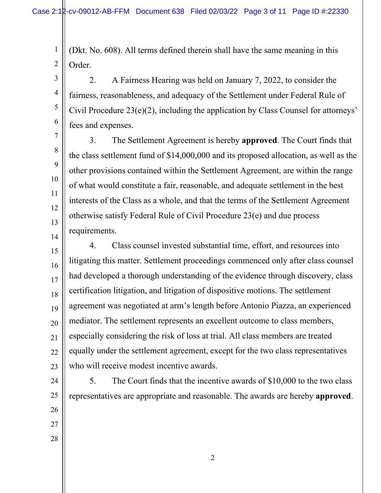1

3

4

5

6

7

8

9

10

11

12

13

14

2 (Dkt. No. 608). All terms defined therein shall have the same meaning in this Order.

2. A Fairness Hearing was held on January 7, 2022, to consider the fairness, reasonableness, and adequacy of the Settlement under Federal Rule of Civil Procedure 23(e)(2), including the application by Class Counsel for attorneys' fees and expenses.

3. The Settlement Agreement is hereby **approved**. The Court finds that the class settlement fund of \$14,000,000 and its proposed allocation, as well as the other provisions contained within the Settlement Agreement, are within the range of what would constitute a fair, reasonable, and adequate settlement in the best interests of the Class as a whole, and that the terms of the Settlement Agreement otherwise satisfy Federal Rule of Civil Procedure 23(e) and due process requirements.

15 16 17 18 19 20 21 22 23 4. Class counsel invested substantial time, effort, and resources into litigating this matter. Settlement proceedings commenced only after class counsel had developed a thorough understanding of the evidence through discovery, class certification litigation, and litigation of dispositive motions. The settlement agreement was negotiated at arm's length before Antonio Piazza, an experienced mediator. The settlement represents an excellent outcome to class members, especially considering the risk of loss at trial. All class members are treated equally under the settlement agreement, except for the two class representatives who will receive modest incentive awards.

24 25 26 27 28 5. The Court finds that the incentive awards of \$10,000 to the two class representatives are appropriate and reasonable. The awards are hereby **approved**.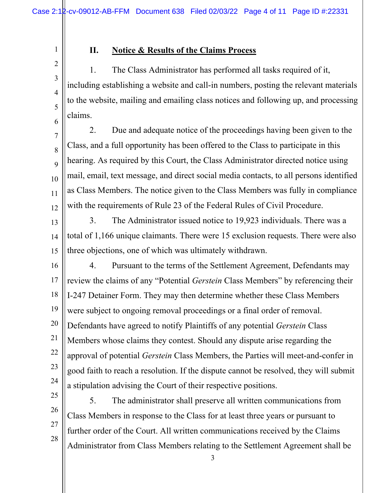2

1

3

4

5

6

## **II. Notice & Results of the Claims Process**

1. The Class Administrator has performed all tasks required of it, including establishing a website and call-in numbers, posting the relevant materials to the website, mailing and emailing class notices and following up, and processing claims.

7 8 9 10 11 12 2. Due and adequate notice of the proceedings having been given to the Class, and a full opportunity has been offered to the Class to participate in this hearing. As required by this Court, the Class Administrator directed notice using mail, email, text message, and direct social media contacts, to all persons identified as Class Members. The notice given to the Class Members was fully in compliance with the requirements of Rule 23 of the Federal Rules of Civil Procedure.

13 14 15 3. The Administrator issued notice to 19,923 individuals. There was a total of 1,166 unique claimants. There were 15 exclusion requests. There were also three objections, one of which was ultimately withdrawn.

16 17 18 19 20 21 22 23 24 4. Pursuant to the terms of the Settlement Agreement, Defendants may review the claims of any "Potential *Gerstein* Class Members" by referencing their I-247 Detainer Form. They may then determine whether these Class Members were subject to ongoing removal proceedings or a final order of removal. Defendants have agreed to notify Plaintiffs of any potential *Gerstein* Class Members whose claims they contest. Should any dispute arise regarding the approval of potential *Gerstein* Class Members, the Parties will meet-and-confer in good faith to reach a resolution. If the dispute cannot be resolved, they will submit a stipulation advising the Court of their respective positions.

25 26 27 28 5. The administrator shall preserve all written communications from Class Members in response to the Class for at least three years or pursuant to further order of the Court. All written communications received by the Claims Administrator from Class Members relating to the Settlement Agreement shall be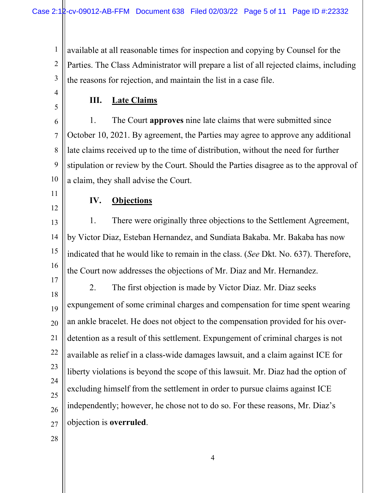1 2 3 available at all reasonable times for inspection and copying by Counsel for the Parties. The Class Administrator will prepare a list of all rejected claims, including the reasons for rejection, and maintain the list in a case file.

4 5

### **III. Late Claims**

6 7 8 9 10 1. The Court **approves** nine late claims that were submitted since October 10, 2021. By agreement, the Parties may agree to approve any additional late claims received up to the time of distribution, without the need for further stipulation or review by the Court. Should the Parties disagree as to the approval of a claim, they shall advise the Court.

11

12

**IV. Objections** 

#### 13 14 15 16 1. There were originally three objections to the Settlement Agreement, by Victor Diaz, Esteban Hernandez, and Sundiata Bakaba. Mr. Bakaba has now indicated that he would like to remain in the class. (*See* Dkt. No. 637). Therefore, the Court now addresses the objections of Mr. Diaz and Mr. Hernandez.

17 18 19 20 21 22 23 24 25 26 27 2. The first objection is made by Victor Diaz. Mr. Diaz seeks expungement of some criminal charges and compensation for time spent wearing an ankle bracelet. He does not object to the compensation provided for his overdetention as a result of this settlement. Expungement of criminal charges is not available as relief in a class-wide damages lawsuit, and a claim against ICE for liberty violations is beyond the scope of this lawsuit. Mr. Diaz had the option of excluding himself from the settlement in order to pursue claims against ICE independently; however, he chose not to do so. For these reasons, Mr. Diaz's objection is **overruled**.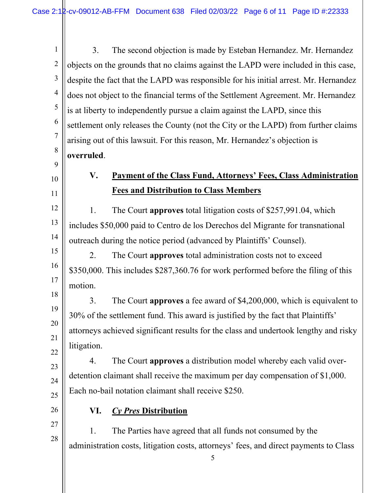1 2 3 4 5 6 7 8 9 3. The second objection is made by Esteban Hernandez. Mr. Hernandez objects on the grounds that no claims against the LAPD were included in this case, despite the fact that the LAPD was responsible for his initial arrest. Mr. Hernandez does not object to the financial terms of the Settlement Agreement. Mr. Hernandez is at liberty to independently pursue a claim against the LAPD, since this settlement only releases the County (not the City or the LAPD) from further claims arising out of this lawsuit. For this reason, Mr. Hernandez's objection is **overruled**.

# 10

11

12

13

14

15

16

17

18

19

20

21

22

## **V. Payment of the Class Fund, Attorneys' Fees, Class Administration Fees and Distribution to Class Members**

1. The Court **approves** total litigation costs of \$257,991.04, which includes \$50,000 paid to Centro de los Derechos del Migrante for transnational outreach during the notice period (advanced by Plaintiffs' Counsel).

2. The Court **approves** total administration costs not to exceed \$350,000. This includes \$287,360.76 for work performed before the filing of this motion.

3. The Court **approves** a fee award of \$4,200,000, which is equivalent to 30% of the settlement fund. This award is justified by the fact that Plaintiffs' attorneys achieved significant results for the class and undertook lengthy and risky litigation.

23 24 25 4. The Court **approves** a distribution model whereby each valid overdetention claimant shall receive the maximum per day compensation of \$1,000. Each no-bail notation claimant shall receive \$250.

26

27

28

## **VI.** *Cy Pres* **Distribution**

1. The Parties have agreed that all funds not consumed by the administration costs, litigation costs, attorneys' fees, and direct payments to Class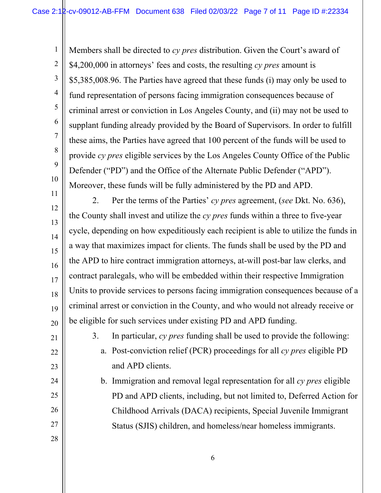1 2 3 4 5 6 8 9 10 11 Members shall be directed to *cy pres* distribution. Given the Court's award of \$4,200,000 in attorneys' fees and costs, the resulting *cy pres* amount is \$5,385,008.96. The Parties have agreed that these funds (i) may only be used to fund representation of persons facing immigration consequences because of criminal arrest or conviction in Los Angeles County, and (ii) may not be used to supplant funding already provided by the Board of Supervisors. In order to fulfill these aims, the Parties have agreed that 100 percent of the funds will be used to provide *cy pres* eligible services by the Los Angeles County Office of the Public Defender ("PD") and the Office of the Alternate Public Defender ("APD"). Moreover, these funds will be fully administered by the PD and APD.

12 13 14 15 16 18 19 20 2. Per the terms of the Parties' *cy pres* agreement, (*see* Dkt. No. 636), the County shall invest and utilize the *cy pres* funds within a three to five-year cycle, depending on how expeditiously each recipient is able to utilize the funds in a way that maximizes impact for clients. The funds shall be used by the PD and the APD to hire contract immigration attorneys, at-will post-bar law clerks, and contract paralegals, who will be embedded within their respective Immigration Units to provide services to persons facing immigration consequences because of a criminal arrest or conviction in the County, and who would not already receive or be eligible for such services under existing PD and APD funding.

21

22

23

24

25

26

27

28

17

7

3. In particular, *cy pres* funding shall be used to provide the following:

a. Post-conviction relief (PCR) proceedings for all *cy pres* eligible PD and APD clients.

b. Immigration and removal legal representation for all *cy pres* eligible PD and APD clients, including, but not limited to, Deferred Action for Childhood Arrivals (DACA) recipients, Special Juvenile Immigrant Status (SJIS) children, and homeless/near homeless immigrants.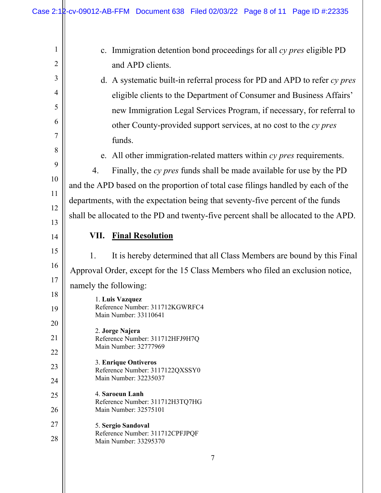| $\mathbf{1}$   | c. Immigration detention bond proceedings for all cy pres eligible PD               |
|----------------|-------------------------------------------------------------------------------------|
| $\overline{2}$ | and APD clients.                                                                    |
| 3              | d. A systematic built-in referral process for PD and APD to refer $cy$ pres         |
| 4              | eligible clients to the Department of Consumer and Business Affairs'                |
| 5              | new Immigration Legal Services Program, if necessary, for referral to               |
| 6              | other County-provided support services, at no cost to the cy pres                   |
| 7              | funds.                                                                              |
| 8              | e. All other immigration-related matters within cy pres requirements.               |
| 9              | Finally, the cy pres funds shall be made available for use by the PD<br>4.          |
| 10             | and the APD based on the proportion of total case filings handled by each of the    |
| 11<br>12       | departments, with the expectation being that seventy-five percent of the funds      |
| 13             | shall be allocated to the PD and twenty-five percent shall be allocated to the APD. |
| 14             | VII. Final Resolution                                                               |
| 15             |                                                                                     |
| 16             | It is hereby determined that all Class Members are bound by this Final<br>1.        |
| 17             | Approval Order, except for the 15 Class Members who filed an exclusion notice,      |
| 18             | namely the following:                                                               |
| 19             | 1. Luis Vazquez<br>Reference Number: 311712KGWRFC4                                  |
| 20             | Main Number: 33110641                                                               |
| 21             | 2. Jorge Najera<br>Reference Number: 311712HFJ9H7Q                                  |
| 22             | Main Number: 32777969                                                               |
| 23             | 3. Enrique Ontiveros                                                                |
| 24             | Reference Number: 3117122QXSSY0<br>Main Number: 32235037                            |
| 25             | 4. Saroeun Lanh                                                                     |
| 26             | Reference Number: 311712H3TQ7HG<br>Main Number: 32575101                            |
| 27             | 5. Sergio Sandoval                                                                  |
| 28             | Reference Number: 311712CPFJPQF<br>Main Number: 33295370                            |
|                | 7                                                                                   |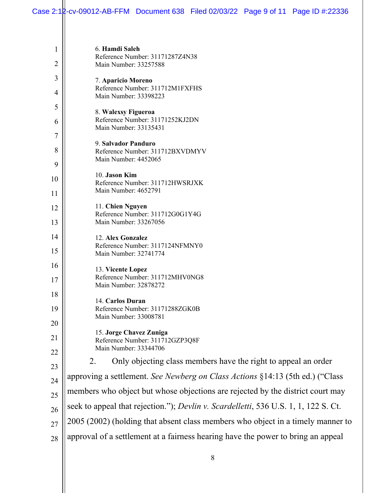| 6. Hamdi Saleh<br>Reference Number: 31171287Z4N38                                   |
|-------------------------------------------------------------------------------------|
| Main Number: 33257588                                                               |
| 7. Aparicio Moreno                                                                  |
| Reference Number: 311712M1FXFHS<br>Main Number: 33398223                            |
| 8. Walexsy Figueroa                                                                 |
| Reference Number: 31171252KJ2DN<br>Main Number: 33135431                            |
| 9. Salvador Panduro                                                                 |
| Reference Number: 311712BXVDMYV<br>Main Number: 4452065                             |
| 10. Jason Kim                                                                       |
| Reference Number: 311712HWSRJXK<br>Main Number: 4652791                             |
|                                                                                     |
| 11. Chien Nguyen<br>Reference Number: 311712G0G1Y4G                                 |
| Main Number: 33267056                                                               |
| 12. Alex Gonzalez<br>Reference Number: 3117124NFMNY0                                |
| Main Number: 32741774                                                               |
| 13. Vicente Lopez<br>Reference Number: 311712MHV0NG8                                |
| Main Number: 32878272                                                               |
| 14. Carlos Duran<br>Reference Number: 31171288ZGK0B                                 |
| Main Number: 33008781                                                               |
| 15. Jorge Chavez Zuniga<br>Reference Number: 311712GZP3Q8F                          |
| Main Number: 33344706                                                               |
| Only objecting class members have the right to appeal an order<br>2.                |
| approving a settlement. See Newberg on Class Actions §14:13 (5th ed.) ("Class"      |
| members who object but whose objections are rejected by the district court may      |
| seek to appeal that rejection."); Devlin v. Scardelletti, 536 U.S. 1, 1, 122 S. Ct. |
| 2005 (2002) (holding that absent class members who object in a timely manner to     |
| approval of a settlement at a fairness hearing have the power to bring an appeal    |
|                                                                                     |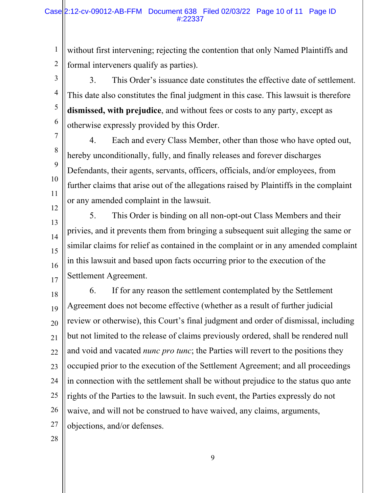#### Case 2:12-cv-09012-AB-FFM Document 638 Filed 02/03/22 Page 10 of 11 Page ID #:22337

1 2 without first intervening; rejecting the contention that only Named Plaintiffs and formal interveners qualify as parties).

3 4 5 6 3. This Order's issuance date constitutes the effective date of settlement. This date also constitutes the final judgment in this case. This lawsuit is therefore **dismissed, with prejudice**, and without fees or costs to any party, except as otherwise expressly provided by this Order.

7 8 9 10 11 12 4. Each and every Class Member, other than those who have opted out, hereby unconditionally, fully, and finally releases and forever discharges Defendants, their agents, servants, officers, officials, and/or employees, from further claims that arise out of the allegations raised by Plaintiffs in the complaint or any amended complaint in the lawsuit.

13 14 15 16 17 5. This Order is binding on all non-opt-out Class Members and their privies, and it prevents them from bringing a subsequent suit alleging the same or similar claims for relief as contained in the complaint or in any amended complaint in this lawsuit and based upon facts occurring prior to the execution of the Settlement Agreement.

18 19 20 21 22 23 24 25 26 27 6. If for any reason the settlement contemplated by the Settlement Agreement does not become effective (whether as a result of further judicial review or otherwise), this Court's final judgment and order of dismissal, including but not limited to the release of claims previously ordered, shall be rendered null and void and vacated *nunc pro tunc*; the Parties will revert to the positions they occupied prior to the execution of the Settlement Agreement; and all proceedings in connection with the settlement shall be without prejudice to the status quo ante rights of the Parties to the lawsuit. In such event, the Parties expressly do not waive, and will not be construed to have waived, any claims, arguments, objections, and/or defenses.